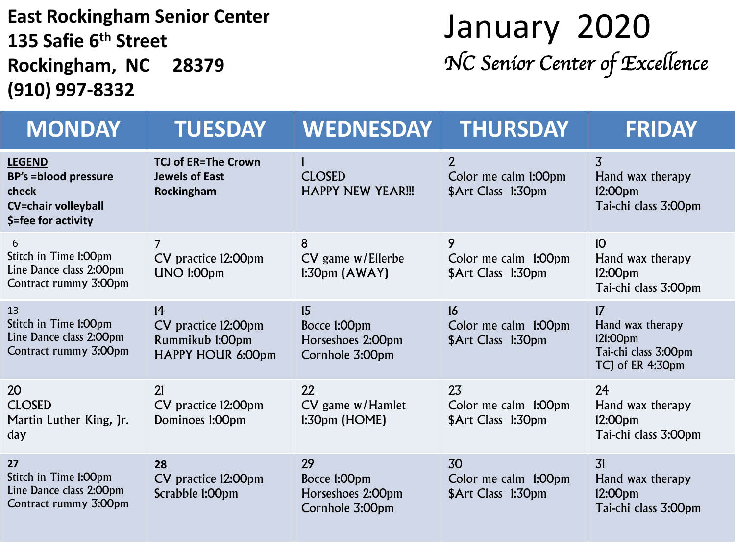### East Rockingham Senior Center<br>135 Safie 6<sup>th</sup> Street<br>135 Safie 6<sup>th</sup> Street **135 Safie 6 th Street Rockingham, NC 28379 (910) 997-8332**

# *NC Senior Center of Excellence*

| <b>MONDAY</b>                                                                                               | <b>TUESDAY</b>                                                    | <b>WEDNESDAY</b>                                           | <b>THURSDAY</b>                                              | <b>FRIDAY</b>                                                                      |
|-------------------------------------------------------------------------------------------------------------|-------------------------------------------------------------------|------------------------------------------------------------|--------------------------------------------------------------|------------------------------------------------------------------------------------|
| <b>LEGEND</b><br><b>BP's = blood pressure</b><br>check<br><b>CV=chair volleyball</b><br>\$=fee for activity | <b>TCJ of ER=The Crown</b><br><b>Jewels of East</b><br>Rockingham | <b>CLOSED</b><br><b>HAPPY NEW YEAR!!!</b>                  | $\overline{2}$<br>Color me calm 1:00pm<br>\$Art Class 1:30pm | $\overline{3}$<br>Hand wax therapy<br>12:00pm<br>Tai-chi class 3:00pm              |
| 6<br>Stitch in Time I:00pm<br>Line Dance class 2:00pm<br>Contract rummy 3:00pm                              | $\overline{7}$<br>CV practice 12:00pm<br>UNO 1:00pm               | 8<br>CV game w/Ellerbe<br>1:30 <sub>pm</sub> (AWAY)        | 9<br>Color me calm 1:00pm<br>\$Art Class 1:30pm              | 10 <sup>°</sup><br>Hand wax therapy<br>12:00 <sub>pm</sub><br>Tai-chi class 3:00pm |
| 13<br>Stitch in Time 1:00pm<br>Line Dance class 2:00pm<br>Contract rummy 3:00pm                             | 14<br>CV practice 12:00pm<br>Rummikub 1:00pm<br>HAPPY HOUR 6:00pm | 15<br>Bocce 1:00pm<br>Horseshoes 2:00pm<br>Cornhole 3:00pm | 16<br>Color me calm 1:00pm<br>\$Art Class 1:30pm             | 17<br>Hand wax therapy<br>121:00pm<br>Tai-chi class 3:00pm<br>TCJ of ER 4:30pm     |
| 20<br><b>CLOSED</b><br>Martin Luther King, Jr.<br>day                                                       | 21<br>CV practice 12:00pm<br>Dominoes 1:00pm                      | 22<br>CV game w/Hamlet<br>$1:30pm$ (HOME)                  | 23<br>Color me calm 1:00pm<br>\$Art Class 1:30pm             | 24<br>Hand wax therapy<br>12:00 <sub>pm</sub><br>Tai-chi class 3:00pm              |
| 27<br>Stitch in Time 1:00pm<br>Line Dance class 2:00pm<br>Contract rummy 3:00pm                             | 28<br>CV practice 12:00pm<br>Scrabble 1:00pm                      | 29<br>Bocce 1:00pm<br>Horseshoes 2:00pm<br>Cornhole 3:00pm | 30<br>Color me calm 1:00pm<br>\$Art Class 1:30pm             | 31<br>Hand wax therapy<br>12:00pm<br>Tai-chi class 3:00pm                          |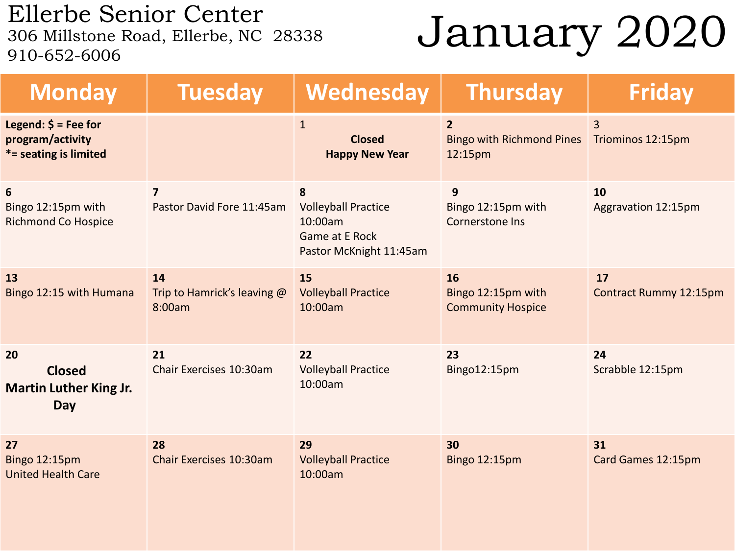Ellerbe Senior Center  $\frac{1}{206}$  Millstone Road, Ellerbe, NC 28338 January 2020 910-652-6006

| <b>Monday</b>                                                          | <b>Tuesday</b>                              | Wednesday                                                                                      | <b>Thursday</b>                                               | <b>Friday</b>                       |
|------------------------------------------------------------------------|---------------------------------------------|------------------------------------------------------------------------------------------------|---------------------------------------------------------------|-------------------------------------|
| Legend: $\oint$ = Fee for<br>program/activity<br>*= seating is limited |                                             | $\mathbf{1}$<br><b>Closed</b><br><b>Happy New Year</b>                                         | $\overline{2}$<br><b>Bingo with Richmond Pines</b><br>12:15pm | $\overline{3}$<br>Triominos 12:15pm |
| 6<br>Bingo 12:15pm with<br><b>Richmond Co Hospice</b>                  | $\overline{7}$<br>Pastor David Fore 11:45am | 8<br><b>Volleyball Practice</b><br>10:00am<br><b>Game at E Rock</b><br>Pastor McKnight 11:45am | $\mathbf{9}$<br>Bingo 12:15pm with<br><b>Cornerstone Ins</b>  | 10<br>Aggravation 12:15pm           |
| 13<br>Bingo 12:15 with Humana                                          | 14<br>Trip to Hamrick's leaving @<br>8:00am | 15<br><b>Volleyball Practice</b><br>10:00am                                                    | 16<br>Bingo 12:15pm with<br><b>Community Hospice</b>          | 17<br><b>Contract Rummy 12:15pm</b> |
| 20<br><b>Closed</b><br><b>Martin Luther King Jr.</b><br>Day            | 21<br>Chair Exercises 10:30am               | 22<br><b>Volleyball Practice</b><br>10:00am                                                    | 23<br>Bingo12:15pm                                            | 24<br>Scrabble 12:15pm              |
| 27<br><b>Bingo 12:15pm</b><br><b>United Health Care</b>                | 28<br>Chair Exercises 10:30am               | 29<br><b>Volleyball Practice</b><br>10:00am                                                    | 30<br><b>Bingo 12:15pm</b>                                    | 31<br>Card Games 12:15pm            |